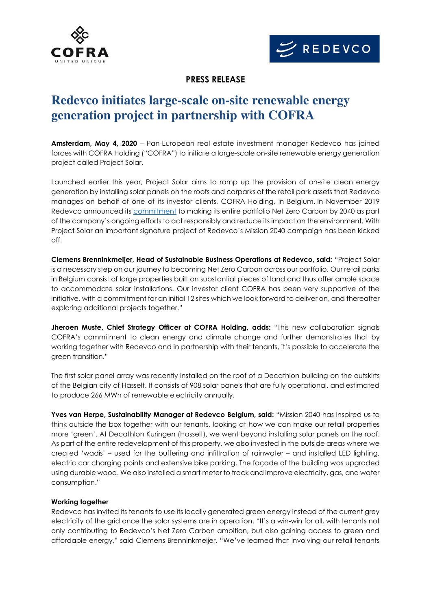



### **PRESS RELEASE**

# **Redevco initiates large-scale on-site renewable energy generation project in partnership with COFRA**

**Amsterdam, May 4, 2020** – Pan-European real estate investment manager Redevco has joined forces with COFRA Holding ("COFRA") to initiate a large-scale on-site renewable energy generation project called Project Solar.

Launched earlier this year, Project Solar aims to ramp up the provision of on-site clean energy generation by installing solar panels on the roofs and carparks of the retail park assets that Redevco manages on behalf of one of its investor clients, COFRA Holding, in Belgium. In November 2019 Redevco announced its [commitment](https://www.redevco.com/news/redevco-commits-to-net-zero-carbon-portfolio-by-2040/) to making its entire portfolio Net Zero Carbon by 2040 as part of the company's ongoing efforts to act responsibly and reduce its impact on the environment. With Project Solar an important signature project of Redevco's Mission 2040 campaign has been kicked off.

**Clemens Brenninkmeijer, Head of Sustainable Business Operations at Redevco, said:** "Project Solar is a necessary step on our journey to becoming Net Zero Carbon across our portfolio. Our retail parks in Belgium consist of large properties built on substantial pieces of land and thus offer ample space to accommodate solar installations. Our investor client COFRA has been very supportive of the initiative, with a commitment for an initial 12 sites which we look forward to deliver on, and thereafter exploring additional projects together."

**Jheroen Muste, Chief Strategy Officer at COFRA Holding, adds:** "This new collaboration signals COFRA's commitment to clean energy and climate change and further demonstrates that by working together with Redevco and in partnership with their tenants, it's possible to accelerate the green transition."

The first solar panel array was recently installed on the roof of a Decathlon building on the outskirts of the Belgian city of Hasselt. It consists of 908 solar panels that are fully operational, and estimated to produce 266 MWh of renewable electricity annually.

Yves van Herpe, Sustainability Manager at Redevco Belgium, said: "Mission 2040 has inspired us to think outside the box together with our tenants, looking at how we can make our retail properties more 'green'. At Decathlon Kuringen (Hasselt), we went beyond installing solar panels on the roof. As part of the entire redevelopment of this property, we also invested in the outside areas where we created 'wadis' – used for the buffering and infiltration of rainwater – and installed LED lighting, electric car charging points and extensive bike parking. The façade of the building was upgraded using durable wood. We also installed a smart meter to track and improve electricity, gas, and water consumption."

### **Working together**

Redevco has invited its tenants to use its locally generated green energy instead of the current grey electricity of the grid once the solar systems are in operation. "It's a win-win for all, with tenants not only contributing to Redevco's Net Zero Carbon ambition, but also gaining access to green and affordable energy," said Clemens Brenninkmeijer. "We've learned that involving our retail tenants